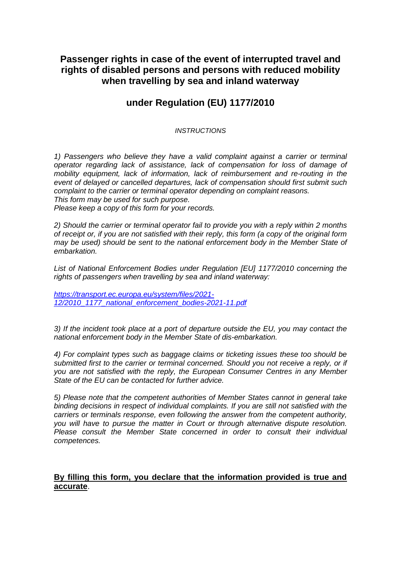## **Passenger rights in case of the event of interrupted travel and rights of disabled persons and persons with reduced mobility when travelling by sea and inland waterway**

## **under Regulation (EU) 1177/2010**

#### *INSTRUCTIONS*

*1) Passengers who believe they have a valid complaint against a carrier or terminal operator regarding lack of assistance, lack of compensation for loss of damage of mobility equipment, lack of information, lack of reimbursement and re-routing in the event of delayed or cancelled departures, lack of compensation should first submit such complaint to the carrier or terminal operator depending on complaint reasons. This form may be used for such purpose.* 

*Please keep a copy of this form for your records.*

*2) Should the carrier or terminal operator fail to provide you with a reply within 2 months of receipt or, if you are not satisfied with their reply, this form (a copy of the original form may be used) should be sent to the national enforcement body in the Member State of embarkation.*

*List of National Enforcement Bodies under Regulation [EU] 1177/2010 concerning the rights of passengers when travelling by sea and inland waterway:*

*[https://transport.ec.europa.eu/system/files/2021-](https://transport.ec.europa.eu/system/files/2021-12/2010_1177_national_enforcement_bodies-2021-11.pdf) [12/2010\\_1177\\_national\\_enforcement\\_bodies-2021-11.pdf](https://transport.ec.europa.eu/system/files/2021-12/2010_1177_national_enforcement_bodies-2021-11.pdf)*

*3) If the incident took place at a port of departure outside the EU, you may contact the national enforcement body in the Member State of dis-embarkation.* 

*4) For complaint types such as baggage claims or ticketing issues these too should be submitted first to the carrier or terminal concerned. Should you not receive a reply, or if you are not satisfied with the reply, the European Consumer Centres in any Member State of the EU can be contacted for further advice.* 

*5) Please note that the competent authorities of Member States cannot in general take binding decisions in respect of individual complaints. If you are still not satisfied with the carriers or terminals response, even following the answer from the competent authority, you will have to pursue the matter in Court or through alternative dispute resolution. Please consult the Member State concerned in order to consult their individual competences.*

### **By filling this form, you declare that the information provided is true and accurate**.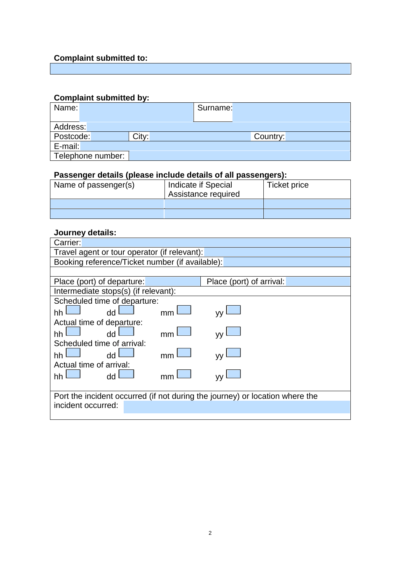# **Complaint submitted to:**

# **Complaint submitted by:**

| Name:             |       | Surname: |          |  |
|-------------------|-------|----------|----------|--|
| Address:          |       |          |          |  |
| Postcode:         | City: |          | Country: |  |
| E-mail:           |       |          |          |  |
| Telephone number: |       |          |          |  |

### **Passenger details (please include details of all passengers):**

| Name of passenger(s) | Indicate if Special<br>Assistance required | Ticket price |
|----------------------|--------------------------------------------|--------------|
|                      |                                            |              |
|                      |                                            |              |

### **Journey details:**

| Carrier:                                                                     |                          |  |  |  |
|------------------------------------------------------------------------------|--------------------------|--|--|--|
| Travel agent or tour operator (if relevant):                                 |                          |  |  |  |
| Booking reference/Ticket number (if available):                              |                          |  |  |  |
|                                                                              |                          |  |  |  |
| Place (port) of departure:                                                   | Place (port) of arrival: |  |  |  |
| Intermediate stops(s) (if relevant):                                         |                          |  |  |  |
| Scheduled time of departure:                                                 |                          |  |  |  |
| dd<br>hh<br>mm                                                               |                          |  |  |  |
| Actual time of departure:                                                    |                          |  |  |  |
| dd<br>hh<br>mm                                                               |                          |  |  |  |
| Scheduled time of arrival:                                                   |                          |  |  |  |
| dd<br>hh                                                                     |                          |  |  |  |
| Actual time of arrival:                                                      |                          |  |  |  |
| dd<br>hh<br>mn                                                               |                          |  |  |  |
|                                                                              |                          |  |  |  |
| Port the incident occurred (if not during the journey) or location where the |                          |  |  |  |
| incident occurred:                                                           |                          |  |  |  |
|                                                                              |                          |  |  |  |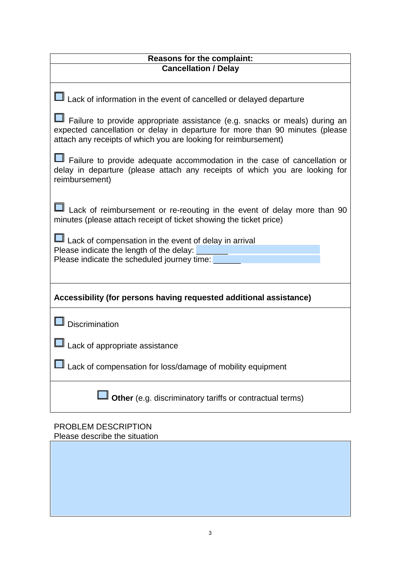| <b>Reasons for the complaint:</b>                                                                                                                                                                                             |  |  |  |  |
|-------------------------------------------------------------------------------------------------------------------------------------------------------------------------------------------------------------------------------|--|--|--|--|
| <b>Cancellation / Delay</b>                                                                                                                                                                                                   |  |  |  |  |
| Lack of information in the event of cancelled or delayed departure                                                                                                                                                            |  |  |  |  |
| Failure to provide appropriate assistance (e.g. snacks or meals) during an<br>expected cancellation or delay in departure for more than 90 minutes (please<br>attach any receipts of which you are looking for reimbursement) |  |  |  |  |
| Failure to provide adequate accommodation in the case of cancellation or<br>delay in departure (please attach any receipts of which you are looking for<br>reimbursement)                                                     |  |  |  |  |
| Lack of reimbursement or re-reouting in the event of delay more than 90<br>minutes (please attach receipt of ticket showing the ticket price)                                                                                 |  |  |  |  |
| Lack of compensation in the event of delay in arrival<br>Please indicate the length of the delay:<br>Please indicate the scheduled journey time:                                                                              |  |  |  |  |
| Accessibility (for persons having requested additional assistance)                                                                                                                                                            |  |  |  |  |
| Discrimination                                                                                                                                                                                                                |  |  |  |  |
| Lack of appropriate assistance                                                                                                                                                                                                |  |  |  |  |
| Lack of compensation for loss/damage of mobility equipment                                                                                                                                                                    |  |  |  |  |
| Other (e.g. discriminatory tariffs or contractual terms)                                                                                                                                                                      |  |  |  |  |

### PROBLEM DESCRIPTION Please describe the situation